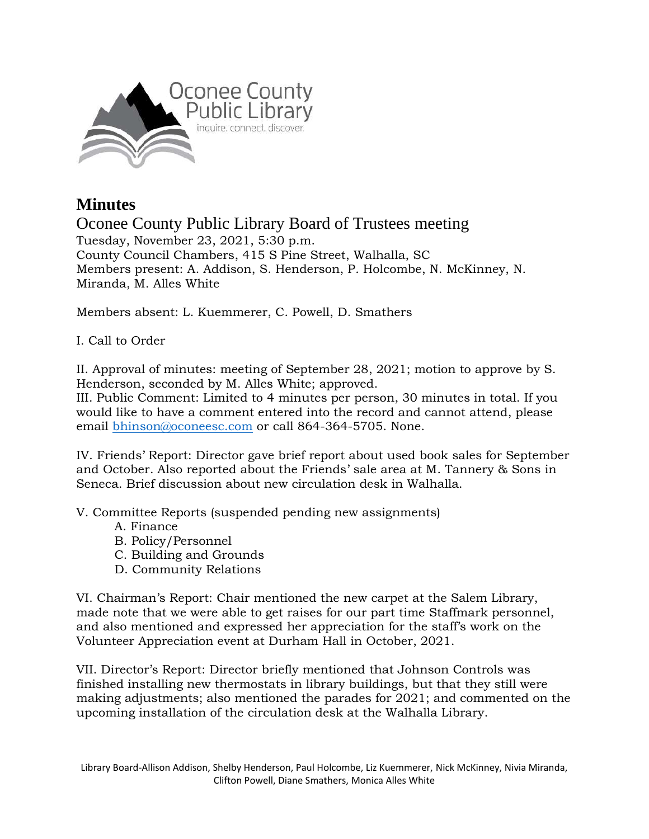

## **Minutes**

Oconee County Public Library Board of Trustees meeting Tuesday, November 23, 2021, 5:30 p.m. County Council Chambers, 415 S Pine Street, Walhalla, SC Members present: A. Addison, S. Henderson, P. Holcombe, N. McKinney, N. Miranda, M. Alles White

Members absent: L. Kuemmerer, C. Powell, D. Smathers

I. Call to Order

II. Approval of minutes: meeting of September 28, 2021; motion to approve by S. Henderson, seconded by M. Alles White; approved.

III. Public Comment: Limited to 4 minutes per person, 30 minutes in total. If you would like to have a comment entered into the record and cannot attend, please email [bhinson@oconeesc.com](mailto:bhinson@oconeesc.com) or call 864-364-5705. None.

IV. Friends' Report: Director gave brief report about used book sales for September and October. Also reported about the Friends' sale area at M. Tannery & Sons in Seneca. Brief discussion about new circulation desk in Walhalla.

V. Committee Reports (suspended pending new assignments)

- A. Finance
- B. Policy/Personnel
- C. Building and Grounds
- D. Community Relations

VI. Chairman's Report: Chair mentioned the new carpet at the Salem Library, made note that we were able to get raises for our part time Staffmark personnel, and also mentioned and expressed her appreciation for the staff's work on the Volunteer Appreciation event at Durham Hall in October, 2021.

VII. Director's Report: Director briefly mentioned that Johnson Controls was finished installing new thermostats in library buildings, but that they still were making adjustments; also mentioned the parades for 2021; and commented on the upcoming installation of the circulation desk at the Walhalla Library.